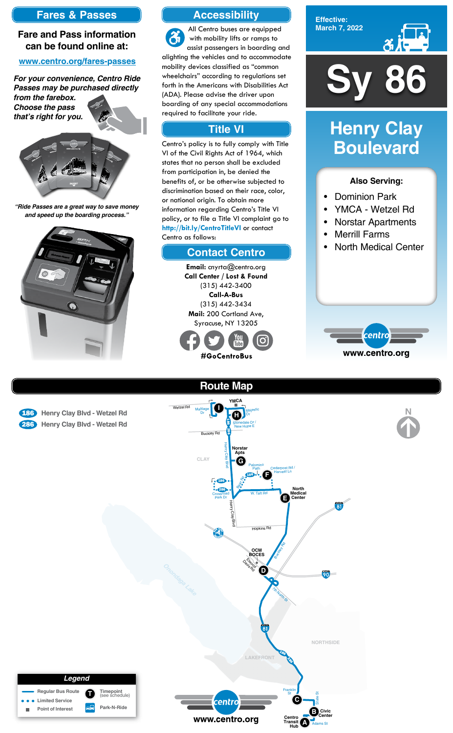

**Effective: March 7, 2022**



### **Also Serving:**

- Dominion Park
- YMCA Wetzel Rd
- Norstar Apartments
- Merrill Farms
- North Medical Center



# **Henry Clay Boulevard**





## **Accessibility**

## **Contact Centro**

## **Title VI**

All Centro buses are equipped  $\mathfrak{F}$ with mobility lifts or ramps to assist passengers in boarding and alighting the vehicles and to accommodate mobility devices classified as "common wheelchairs" according to regulations set forth in the Americans with Disabilities Act (ADA). Please advise the driver upon boarding of any special accommodations required to facilitate your ride.

Centro's policy is to fully comply with Title VI of the Civil Rights Act of 1964, which states that no person shall be excluded from participation in, be denied the benefits of, or be otherwise subjected to discrimination based on their race, color, or national origin. To obtain more information regarding Centro's Title VI policy, or to file a Title VI complaint go to **http://bit.ly/CentroTitleVI** or contact Centro as follows:

> **Email:** cnyrta@centro.org **Call Center / Lost & Found** (315) 442-3400 **Call-A-Bus** (315) 442-3434 **Mail:** 200 Cortland Ave, Syracuse, NY 13205



## **Fares & Passes**

### **Fare and Pass information can be found online at:**

### **www.centro.org/fares-passes**

*"Ride Passes are a great way to save money and speed up the boarding process."*



*For your convenience, Centro Ride Passes may be purchased directly from the farebox.*

*Choose the pass that's right for you.*